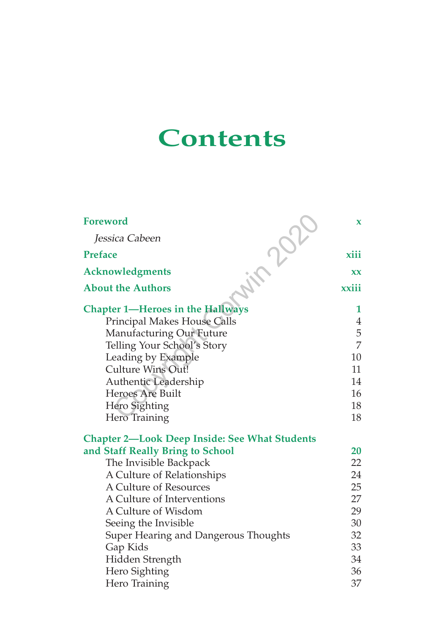## **Contents**

| <b>Foreword</b>                                      | $\mathbf{x}$   |
|------------------------------------------------------|----------------|
| Jessica Cabeen                                       |                |
| <b>Preface</b>                                       | xiii           |
| <b>Acknowledgments</b>                               | XX.            |
| <b>About the Authors</b>                             | xxiii          |
| <b>Chapter 1—Heroes in the Hallways</b>              | 1              |
| Principal Makes House Calls                          | $\overline{4}$ |
| <b>Manufacturing Our Future</b>                      | 5              |
| Telling Your School's Story                          | $\overline{7}$ |
| Leading by Example                                   | 10             |
| <b>Culture Wins Out!</b>                             | 11             |
| Authentic Leadership                                 | 14             |
| <b>Heroes Are Built</b>                              | 16             |
| Hero Sighting                                        | 18             |
| Hero Training                                        | 18             |
| <b>Chapter 2—Look Deep Inside: See What Students</b> |                |
| and Staff Really Bring to School                     | 20             |
| The Invisible Backpack                               | 22             |
| A Culture of Relationships                           | 24             |
| A Culture of Resources                               | 25             |
| A Culture of Interventions                           | 27             |
| A Culture of Wisdom                                  | 29             |
| Seeing the Invisible                                 | 30             |
| Super Hearing and Dangerous Thoughts                 | 32             |
| Gap Kids                                             | 33             |
| Hidden Strength                                      | 34             |
| Hero Sighting                                        | 36             |
| Hero Training                                        | 37             |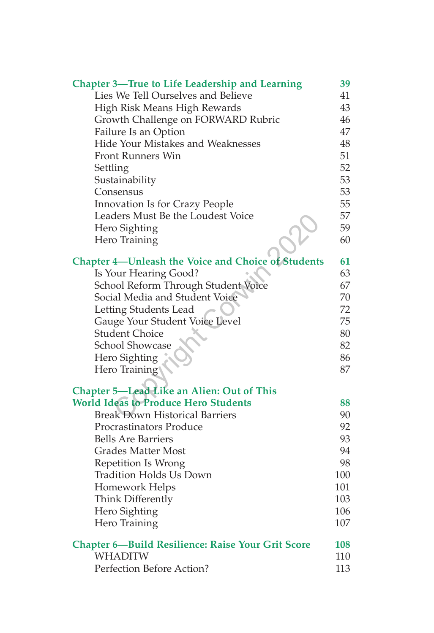| <b>Chapter 3—True to Life Leadership and Learning</b> | 39  |
|-------------------------------------------------------|-----|
| Lies We Tell Ourselves and Believe                    | 41  |
| High Risk Means High Rewards                          | 43  |
| Growth Challenge on FORWARD Rubric                    | 46  |
| Failure Is an Option                                  | 47  |
| Hide Your Mistakes and Weaknesses                     | 48  |
| <b>Front Runners Win</b>                              | 51  |
| Settling                                              | 52  |
| Sustainability                                        | 53  |
| Consensus                                             | 53  |
| Innovation Is for Crazy People                        | 55  |
| Leaders Must Be the Loudest Voice                     | 57  |
| Hero Sighting                                         | 59  |
| Hero Training                                         | 60  |
| Chapter 4-Unleash the Voice and Choice of Students    | 61  |
| Is Your Hearing Good?                                 | 63  |
| School Reform Through Student Voice                   | 67  |
| Social Media and Student Voice                        | 70  |
| Letting Students Lead                                 | 72  |
| Gauge Your Student Voice Level                        | 75  |
| <b>Student Choice</b>                                 | 80  |
| <b>School Showcase</b>                                | 82  |
| Hero Sighting                                         | 86  |
| Hero Training                                         | 87  |
| Chapter 5-Lead Like an Alien: Out of This             |     |
| <b>World Ideas to Produce Hero Students</b>           | 88  |
| <b>Break Down Historical Barriers</b>                 | 90  |
| <b>Procrastinators Produce</b>                        | 92  |
| <b>Bells Are Barriers</b>                             | 93  |
| <b>Grades Matter Most</b>                             | 94  |
| Repetition Is Wrong                                   | 98  |
| <b>Tradition Holds Us Down</b>                        | 100 |
| Homework Helps                                        | 101 |
| Think Differently                                     | 103 |
| Hero Sighting                                         | 106 |
| Hero Training                                         | 107 |
| Chapter 6-Build Resilience: Raise Your Grit Score     | 108 |
| <b>WHADITW</b>                                        | 110 |
| Perfection Before Action?                             | 113 |